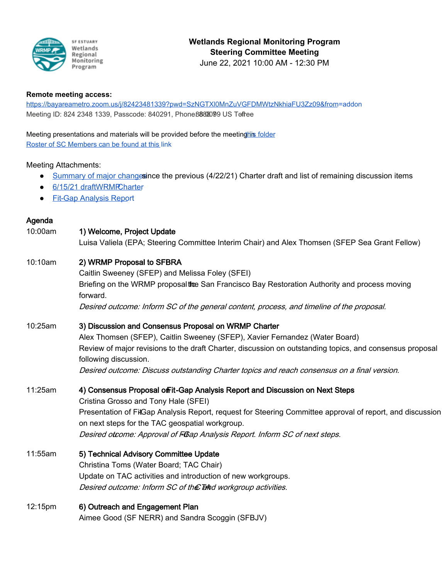

#### **Remote meeting access:**

[https://bayareametro.zoom.us/j/82423481339?pwd=SzNGTXl0MnZuVGFDMWtzNkhiaFU3Zz09&from=](https://bayareametro.zoom.us/j/82423481339?pwd=SzNGTXl0MnZuVGFDMWtzNkhiaFU3Zz09&from=addon)addon Meeting ID: 824 2348 1339, Passcode: 840291, Phone 888 8099 US Tofree

## Meeting presentations and materials will be provided before the meeting his folder

[Roster of SC Members can be found at this l](https://docs.google.com/spreadsheets/d/1irwBf2FqK7Nqeww960DWi42-1E-OG4_bv6QH0k0WIGQ/edit?usp=sharing)ink

## Meeting Attachments:

- [Summary of major change](https://drive.google.com/file/d/1m85kXDTtfPxJzrGg05nn3pLiBJhGdVi4/view?usp=sharing)since the previous (4/22/21) Charter draft and list of remaining discussion items
- 6/15/21 draft WRMPC harter
- [Fit-Gap Analysis Repo](https://docs.google.com/document/d/17oKn3VHUM3J0g3i-HJKPZ6elw4_kwfRMO7BK3yIM2zU/edit?usp=sharing)rt

# Agenda

# 10:00am 1) Welcome, Project Update Luisa Valiela (EPA; Steering Committee Interim Chair) and Alex Thomsen (SFEP Sea Grant Fellow) 10:10am 2) WRMP Proposal to SFBRA Caitlin Sweeney (SFEP) and Melissa Foley (SFEI)

Briefing on the WRMP proposalto San Francisco Bay Restoration Authority and process moving forward. Desired outcome: Inform SC of the general content, process, and timeline of the proposal.

## 10:25am 3) Discussion and Consensus Proposal on WRMP Charter

 Alex Thomsen (SFEP), Caitlin Sweeney (SFEP), Xavier Fernandez (Water Board) Review of major revisions to the draft Charter, discussion on outstanding topics, and consensus proposal following discussion. Desired outcome: Discuss outstanding Charter topics and reach consensus on a final version.

## 11:25am 4) Consensus Proposal offit-Gap Analysis Report and Discussion on Next Steps

Cristina Grosso and Tony Hale (SFEI) Presentation of FitGap Analysis Report, request for Steering Committee approval of report, and discussion on next steps for the TAC geospatial workgroup. Desired otcome: Approval of FGap Analysis Report. Inform SC of next steps.

- 11:55am 5) Technical Advisory Committee Update Christina Toms (Water Board; TAC Chair) Update on TAC activities and introduction of new workgroups. Desired outcome: Inform SC of the Tand workgroup activities.
- 12:15pm 6) Outreach and Engagement Plan Aimee Good (SF NERR) and Sandra Scoggin (SFBJV)